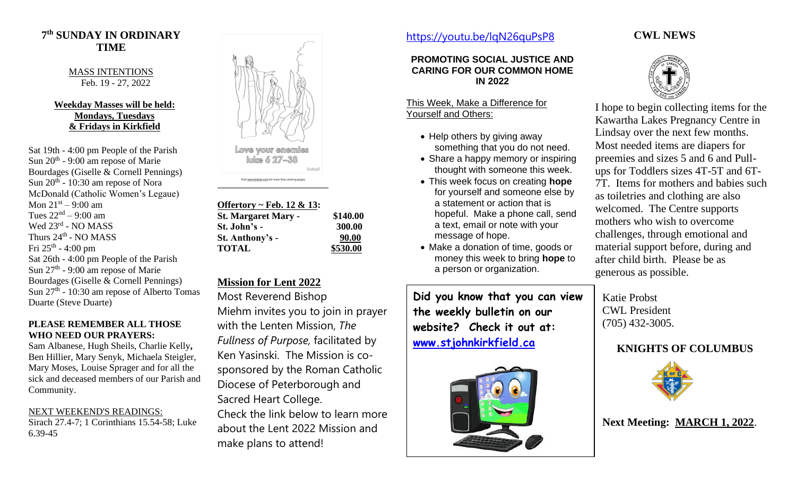## **7 th SUNDAY IN ORDINARY TIME**

MASS INTENTIONS Feb. 19 - 27, 2022

#### **Weekday Masses will be held: Mondays, Tuesdays & Fridays in Kirkfield**

Sat 19th - 4:00 pm People of the Parish Sun  $20<sup>th</sup>$  - 9:00 am repose of Marie Bourdages (Giselle & Cornell Pennings) Sun 20<sup>th</sup> - 10:30 am repose of Nora McDonald (Catholic Women's Legaue) Mon  $21<sup>st</sup> - 9:00$  am Tues  $22<sup>nd</sup> - 9:00$  am Wed 23<sup>rd</sup> - NO MASS Thurs  $24^{\text{th}}$  - NO MASS Fri 25<sup>th</sup> - 4:00 pm Sat 26th - 4:00 pm People of the Parish Sun  $27<sup>th</sup>$  - 9:00 am repose of Marie Bourdages (Giselle & Cornell Pennings) Sun 27<sup>th</sup> - 10:30 am repose of Alberto Tomas Duarte (Steve Duarte)

#### **PLEASE REMEMBER ALL THOSE WHO NEED OUR PRAYERS:**

Sam Albanese, Hugh Sheils, Charlie Kelly**,**  Ben Hillier, Mary Senyk, Michaela Steigler, Mary Moses, Louise Sprager and for all the sick and deceased members of our Parish and Community.

NEXT WEEKEND'S READINGS: Sirach 27.4-7; 1 Corinthians 15.54-58; Luke 6.39-45



Fish www.kidadi.com for more free coloring page

**Offertory ~ Feb. 12 & 13: St. Margaret Mary - \$140.00 St. John's - 300.00 St. Anthony's - 90.00 TOTAL \$530.00**

# **Mission for Lent 2022**

Most Reverend Bishop

Miehm invites you to join in prayer with the Lenten Mission, *The Fullness of Purpose,* facilitated by Ken Yasinski. The Mission is cosponsored by the Roman Catholic Diocese of Peterborough and Sacred Heart College.

Check the link below to learn more about the Lent 2022 Mission and make plans to attend!

# <https://youtu.be/lqN26quPsP8>

#### **PROMOTING SOCIAL JUSTICE AND CARING FOR OUR COMMON HOME IN 2022**

#### This Week, Make a Difference for Yourself and Others:

- Help others by giving away something that you do not need.
- Share a happy memory or inspiring thought with someone this week.
- This week focus on creating **hope** for yourself and someone else by a statement or action that is hopeful. Make a phone call, send a text, email or note with your message of hope.
- Make a donation of time, goods or money this week to bring **hope** to a person or organization.

**Did you know that you can view the weekly bulletin on our website? Check it out at: [www.stjohnkirkfield.ca](http://www.stjohnkirkfield.ca/)**



### **CWL NEWS**



I hope to begin collecting items for the Kawartha Lakes Pregnancy Centre in Lindsay over the next few months. Most needed items are diapers for preemies and sizes 5 and 6 and Pullups for Toddlers sizes 4T-5T and 6T-7T. Items for mothers and babies such as toiletries and clothing are also welcomed. The Centre supports mothers who wish to overcome challenges, through emotional and material support before, during and after child birth. Please be as generous as possible.

Katie Probst CWL President (705) 432-3005.

# **KNIGHTS OF COLUMBUS**



**Next Meeting: MARCH 1, 2022**.